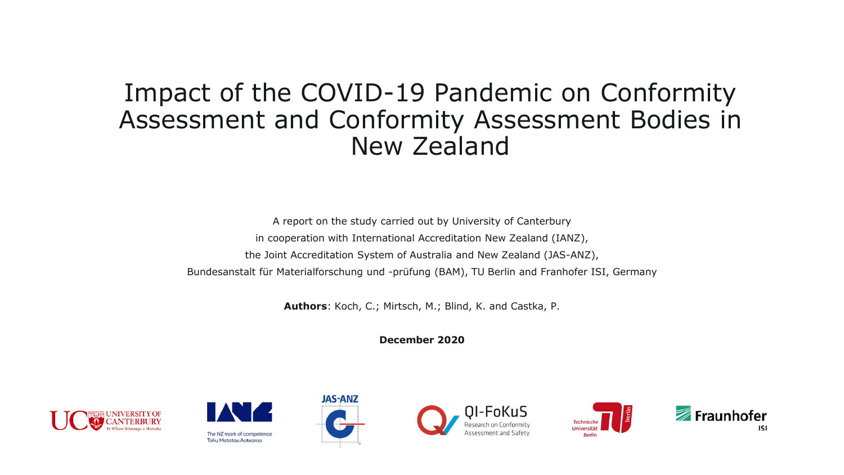#### Impact of the COVID-19 Pandemic on Conformity Assessment and Conformity Assessment Bodies in New Zealand

A report on the study carried out by University of Canterbury in cooperation with International Accreditation New Zealand (IANZ), the Joint Accreditation System of Australia and New Zealand (JAS-ANZ), Bundesanstalt für Materialforschung und -prüfung (BAM), TU Berlin and Franhofer ISI, Germany

**Authors**: Koch, C.; Mirtsch, M.; Blind, K. and Castka, P.

**December 2020**











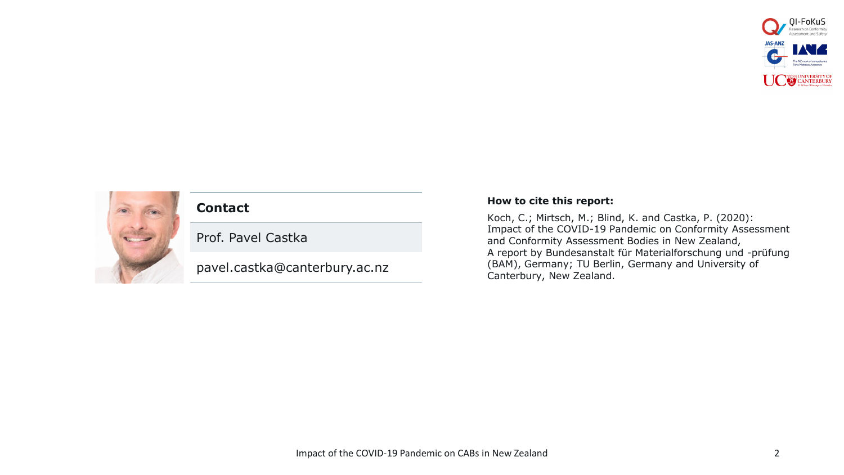



#### **Contact**

Prof. Pavel Castka

pavel.castka@canterbury.ac.nz

#### **How to cite this report:**

Koch, C.; Mirtsch, M.; Blind, K. and Castka, P. (2020): Impact of the COVID-19 Pandemic on Conformity Assessment and Conformity Assessment Bodies in New Zealand, A report by Bundesanstalt für Materialforschung und -prüfung (BAM), Germany; TU Berlin, Germany and University of Canterbury, New Zealand.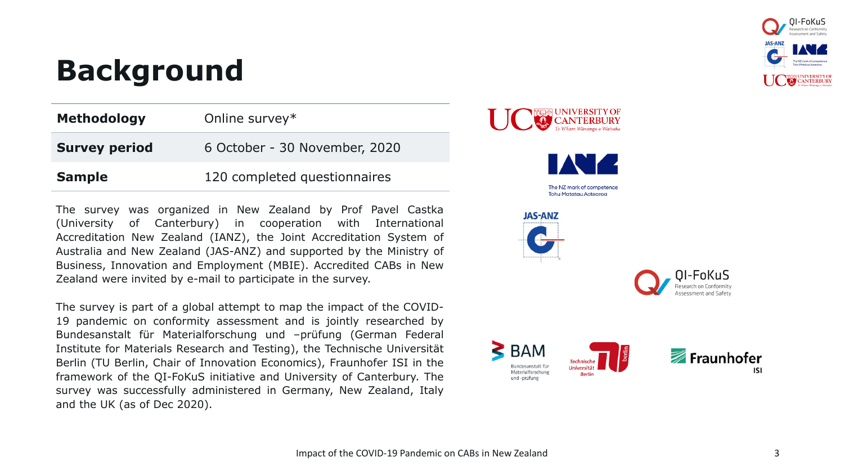

# **Background**

| <b>Methodology</b>   | Online survey*                |
|----------------------|-------------------------------|
| <b>Survey period</b> | 6 October - 30 November, 2020 |
| <b>Sample</b>        | 120 completed questionnaires  |

The survey was organized in New Zealand by Prof Pavel Castka (University of Canterbury) in cooperation with International Accreditation New Zealand (IANZ), the Joint Accreditation System of Australia and New Zealand (JAS-ANZ) and supported by the Ministry of Business, Innovation and Employment (MBIE). Accredited CABs in New Zealand were invited by e-mail to participate in the survey.

The survey is part of a global attempt to map the impact of the COVID-19 pandemic on conformity assessment and is jointly researched by Bundesanstalt für Materialforschung und –prüfung (German Federal Institute for Materials Research and Testing), the Technische Universität Berlin (TU Berlin, Chair of Innovation Economics), Fraunhofer ISI in the framework of the QI-FoKuS initiative and University of Canterbury. The survey was successfully administered in Germany, New Zealand, Italy and the UK (as of Dec 2020).

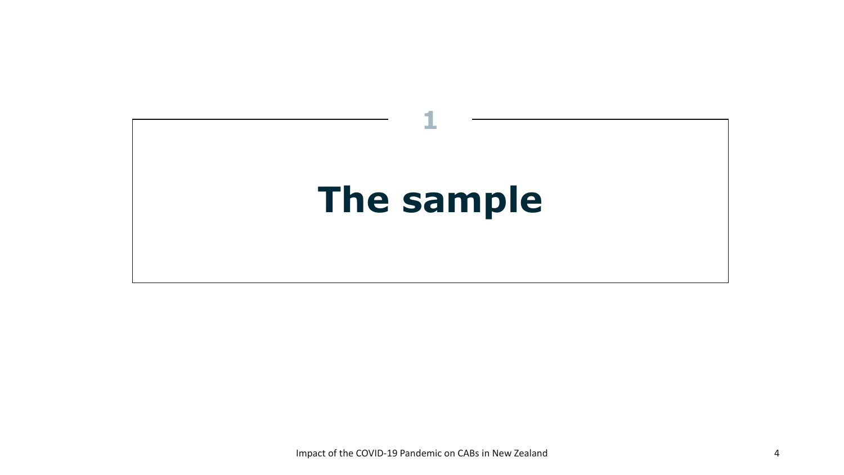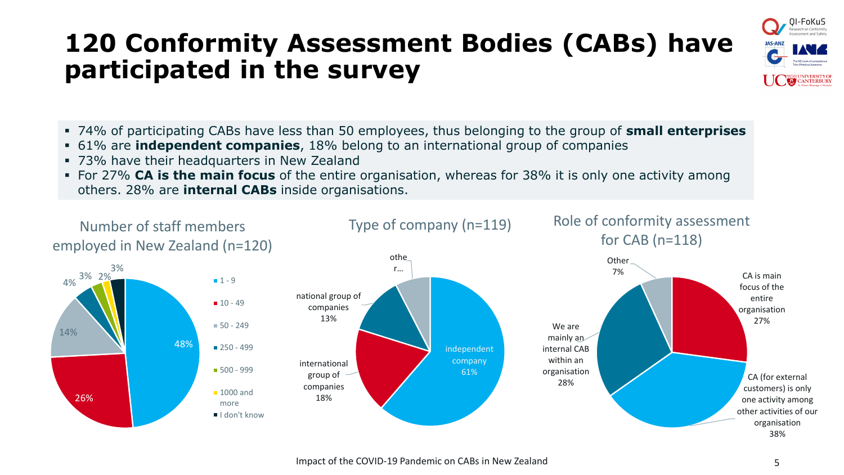## **120 Conformity Assessment Bodies (CABs) have participated in the survey**



- 74% of participating CABs have less than 50 employees, thus belonging to the group of **small enterprises**
- 61% are **independent companies**, 18% belong to an international group of companies
- 73% have their headquarters in New Zealand
- For 27% **CA is the main focus** of the entire organisation, whereas for 38% it is only one activity among others. 28% are **internal CABs** inside organisations.

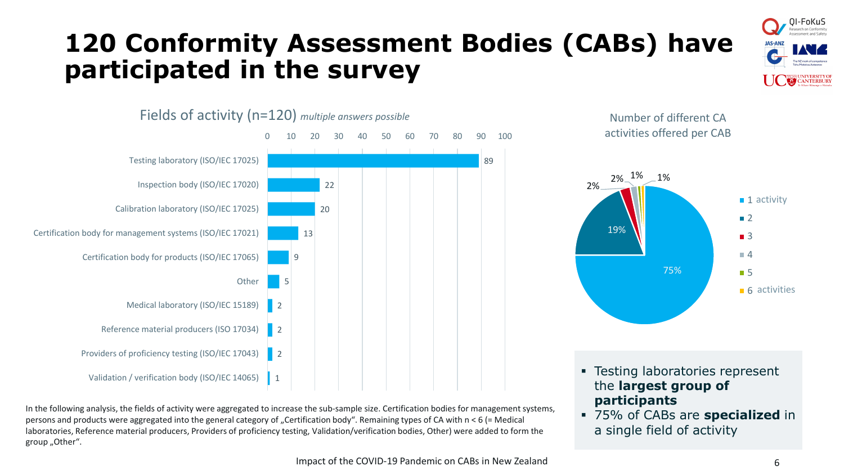## **120 Conformity Assessment Bodies (CABs) have participated in the survey**





In the following analysis, the fields of activity were aggregated to increase the sub-sample size. Certification bodies for management systems, persons and products were aggregated into the general category of "Certification body". Remaining types of CA with  $n < 6$  (= Medical laboratories, Reference material producers, Providers of proficiency testing, Validation/verification bodies, Other) were added to form the group "Other".

Number of different CA activities offered per CAB



- Testing laboratories represent the **largest group of participants**
- 75% of CABs are **specialized** in a single field of activity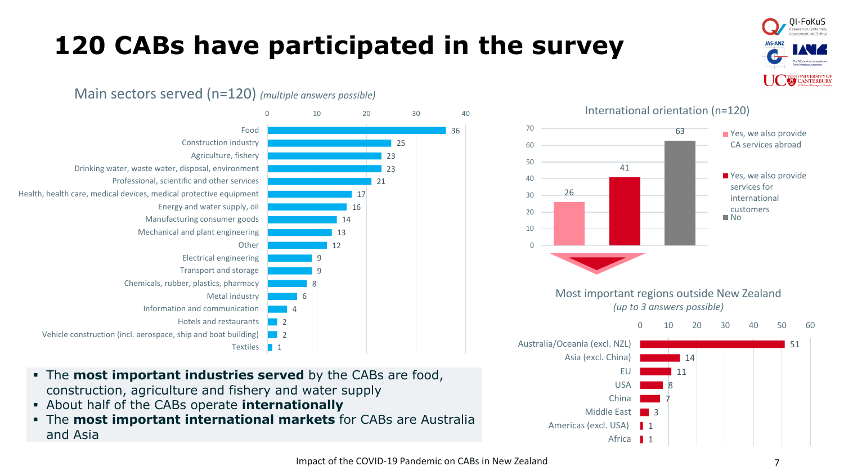# **120 CABs have participated in the survey**

Main sectors served (n=120) *(multiple answers possible)*



- The **most important industries served** by the CABs are food, construction, agriculture and fishery and water supply
- About half of the CABs operate **internationally**
- The **most important international markets** for CABs are Australia and Asia



0I-FoKuS

**ANTERBURY**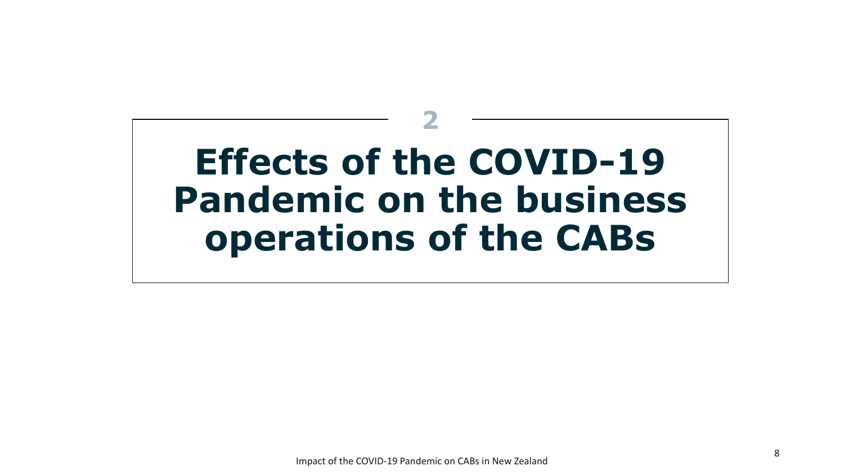# **Effects of the COVID-19 Pandemic on the business operations of the CABs**

**2**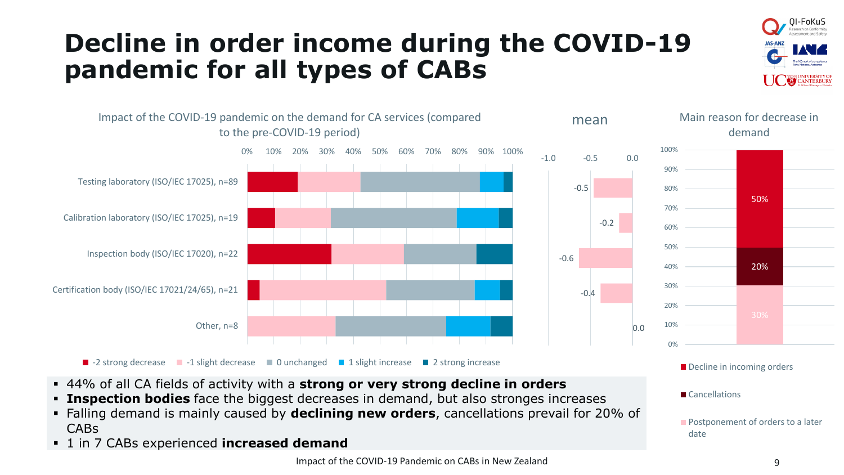

# **Decline in order income during the COVID-19 pandemic for all types of CABs**



- 44% of all CA fields of activity with a **strong or very strong decline in orders**
- **Example 1** Inspection bodies face the biggest decreases in demand, but also stronges increases
- Falling demand is mainly caused by **declining new orders**, cancellations prevail for 20% of CABs
- 1 in 7 CABs experienced **increased demand**

**Postponement of orders to a later** 

Cancellations

date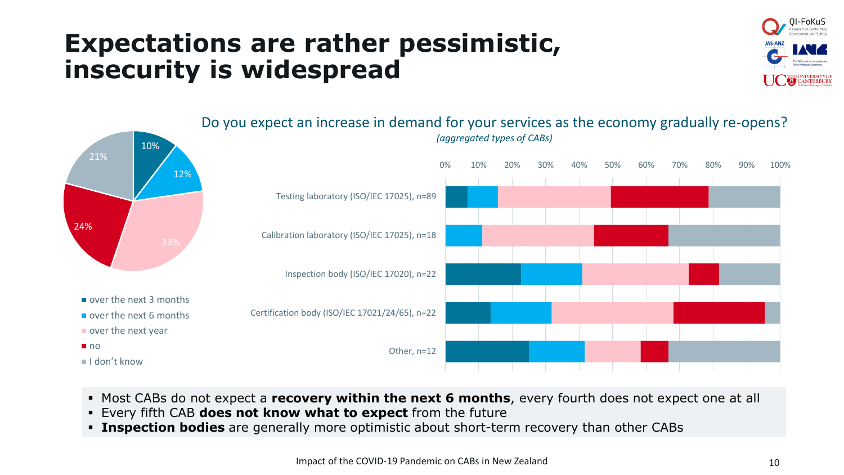#### **Expectations are rather pessimistic, insecurity is widespread**

▪ Every fifth CAB **does not know what to expect** from the future





**Example 1** Inspection bodies are generally more optimistic about short-term recovery than other CABs

▪ Most CABs do not expect a **recovery within the next 6 months**, every fourth does not expect one at all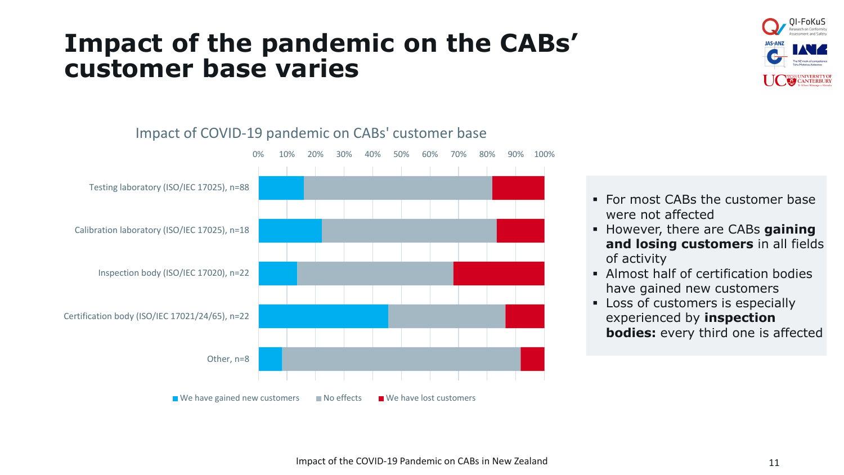#### **Impact of the pandemic on the CABs' customer base varies**





#### Impact of COVID-19 pandemic on CABs' customer base

- For most CABs the customer base were not affected
- However, there are CABs **gaining and losing customers** in all fields of activity
- **EXECUTE:** Almost half of certification bodies have gained new customers
- Loss of customers is especially experienced by **inspection bodies:** every third one is affected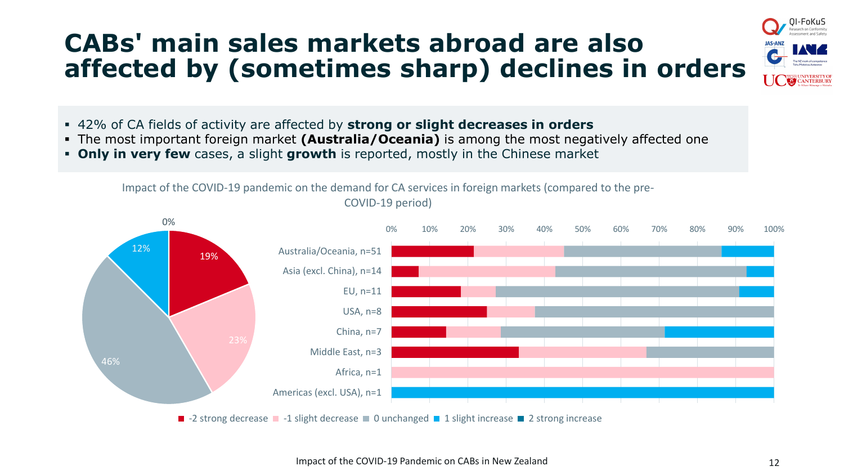## **CABs' main sales markets abroad are also affected by (sometimes sharp) declines in orders**



- 42% of CA fields of activity are affected by **strong or slight decreases in orders**
- The most important foreign market **(Australia/Oceania)** is among the most negatively affected one
- **Only in very few** cases, a slight **growth** is reported, mostly in the Chinese market

Impact of the COVID-19 pandemic on the demand for CA services in foreign markets (compared to the pre-

COVID-19 period)



Impact of the COVID-19 Pandemic on CABs in New Zealand 12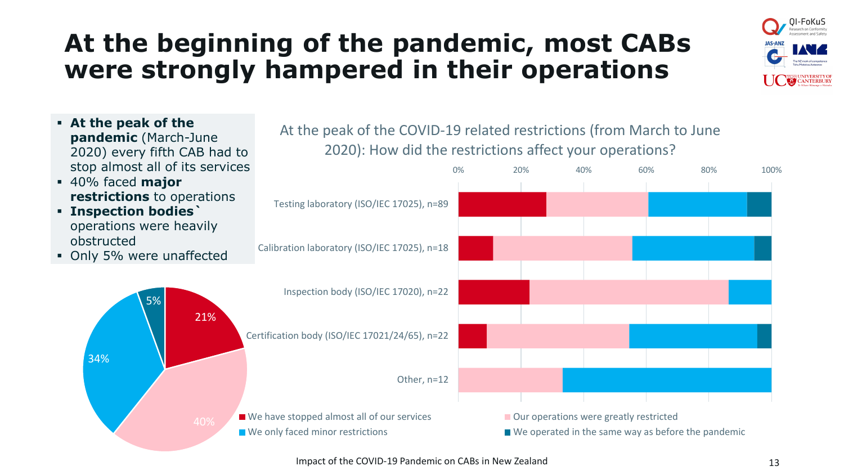## **At the beginning of the pandemic, most CABs were strongly hampered in their operations**



▪ **At the peak of the pandemic** (March-June 2020) every fifth CAB had to stop almost all of its services ▪ 40% faced **major restrictions** to operations ▪ **Inspection bodies`**  operations were heavily obstructed • Only 5% were unaffected 0% 20% 40% 60% 80% 100% Testing laboratory (ISO/IEC 17025), n=89 Calibration laboratory (ISO/IEC 17025), n=18 Inspection body (ISO/IEC 17020), n=22 Certification body (ISO/IEC 17021/24/65), n=22 Other, n=12 At the peak of the COVID-19 related restrictions (from March to June 2020): How did the restrictions affect your operations? ■ We have stopped almost all of our services 
<br>
■ Our operations were greatly restricted 21% 34% 5%

Impact of the COVID-19 Pandemic on CABs in New Zealand 13

 $\Box$  We only faced minor restrictions  $\Box$  We operated in the same way as before the pandemic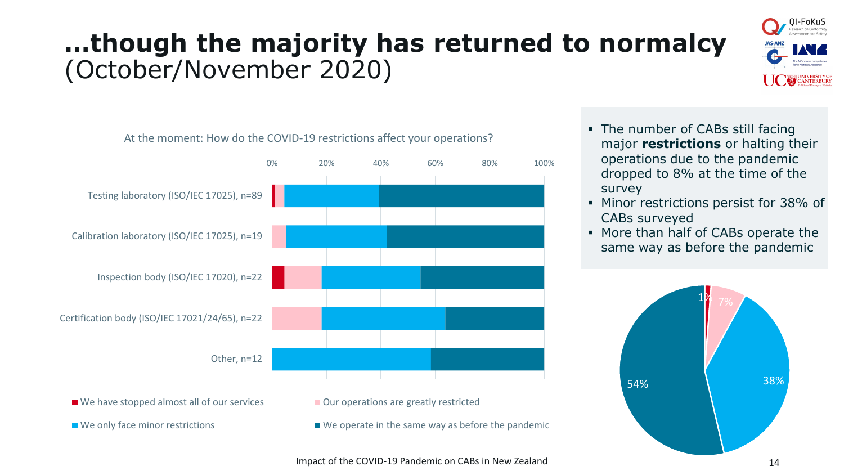# **…though the majority has returned to normalcy** (October/November 2020)





- 
- 
- $\blacksquare$  We only face minor restrictions  $\blacksquare$  We operate in the same way as before the pandemic
- The number of CABs still facing major **restrictions** or halting their operations due to the pandemic dropped to 8% at the time of the survey
- Minor restrictions persist for 38% of CABs surveyed
- More than half of CABs operate the same way as before the pandemic

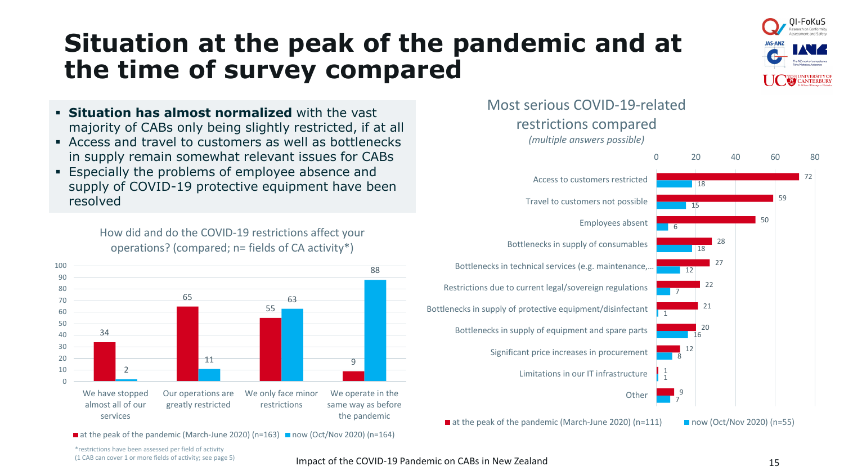# **Situation at the peak of the pandemic and at the time of survey compared**



- **Situation has almost normalized** with the vast majority of CABs only being slightly restricted, if at all
- Access and travel to customers as well as bottlenecks in supply remain somewhat relevant issues for CABs
- **Especially the problems of employee absence and** supply of COVID-19 protective equipment have been resolved

How did and do the COVID-19 restrictions affect your operations? (compared; n= fields of CA activity\*)



 $\blacksquare$  at the peak of the pandemic (March-June 2020) (n=163)  $\blacksquare$  now (Oct/Nov 2020) (n=164)



 $\blacksquare$  at the peak of the pandemic (March-June 2020) (n=111)  $\blacksquare$  now (Oct/Nov 2020) (n=55)



7

\*restrictions have been assessed per field of activity (1 CAB can cover 1 or more fields of activity; see page 5)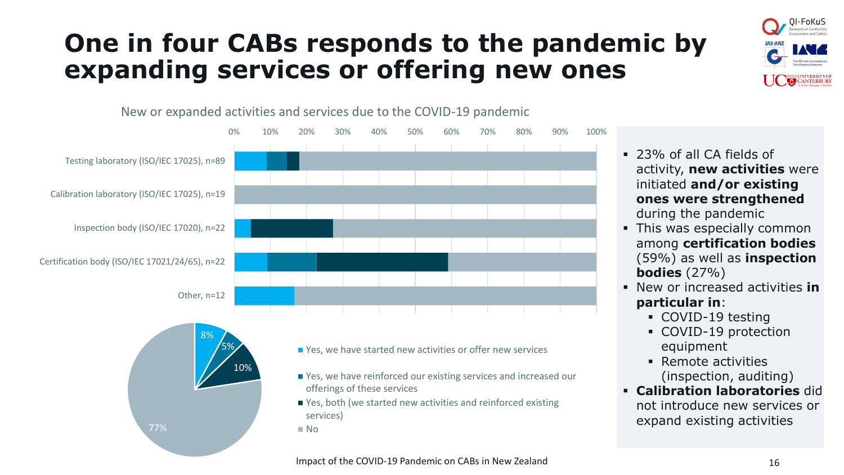## **One in four CABs responds to the pandemic by expanding services or offering new ones**



#### New or expanded activities and services due to the COVID-19 pandemic



- 23% of all CA fields of activity, **new activities** were initiated **and/or existing ones were strengthened**  during the pandemic
- **This was especially common** among **certification bodies**  (59%) as well as **inspection bodies** (27%)
- New or increased activities **in particular in**:
	- COVID-19 testing
	- COVID-19 protection equipment
	- Remote activities (inspection, auditing)
- **Calibration laboratories** did not introduce new services or expand existing activities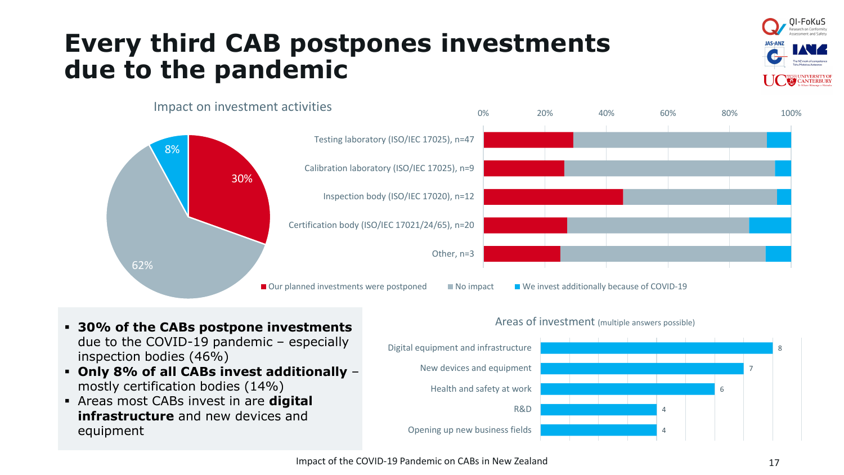## **Every third CAB postpones investments due to the pandemic**





- **30% of the CABs postpone investments**  due to the COVID-19 pandemic – especially inspection bodies (46%)
- **Only 8% of all CABs invest additionally**  mostly certification bodies (14%)
- Areas most CABs invest in are **digital infrastructure** and new devices and equipment

#### Areas of investment (multiple answers possible)

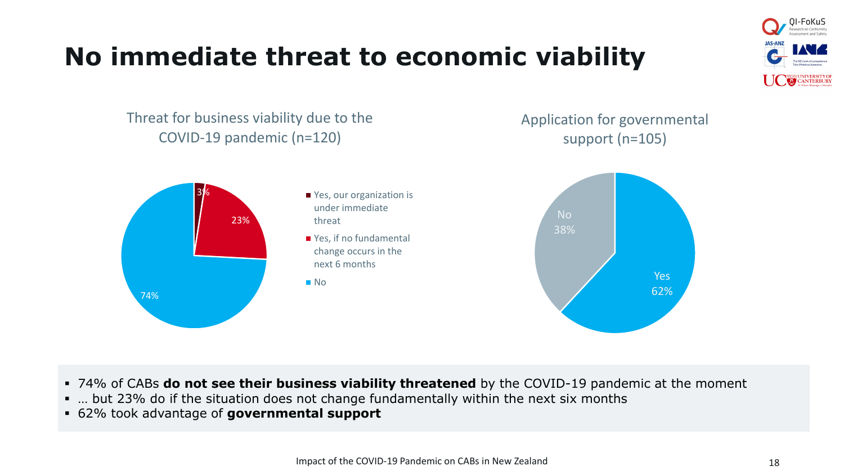# **No immediate threat to economic viability**



Threat for business viability due to the COVID-19 pandemic (n=120)

Application for governmental support (n=105)



- 74% of CABs **do not see their business viability threatened** by the COVID-19 pandemic at the moment
- ... but 23% do if the situation does not change fundamentally within the next six months
- 62% took advantage of **governmental support**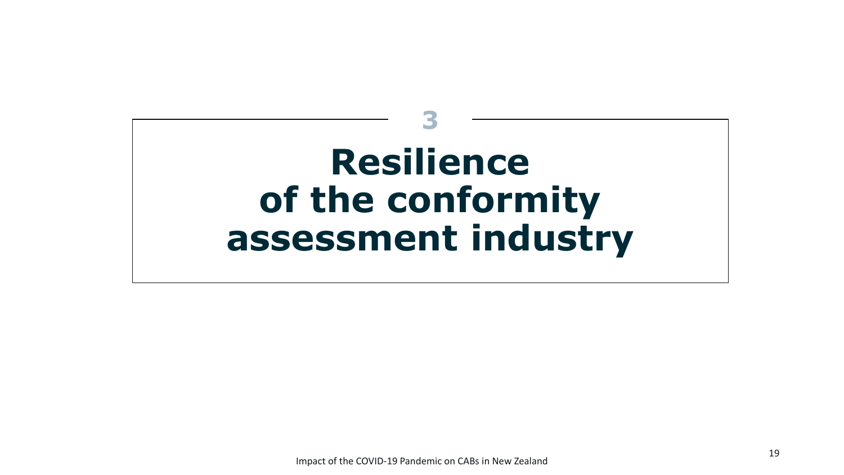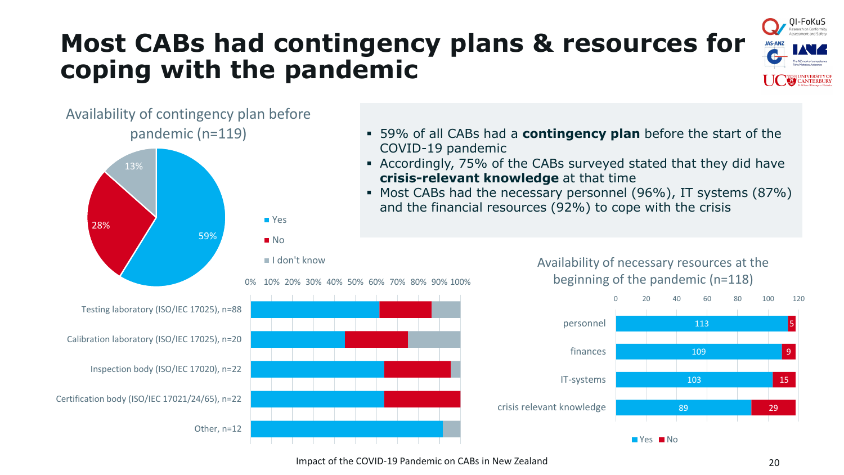# **Most CABs had contingency plans & resources for coping with the pandemic**



#### Availability of contingency plan before pandemic (n=119)



- 59% of all CABs had a **contingency plan** before the start of the COVID-19 pandemic
- Accordingly, 75% of the CABs surveyed stated that they did have **crisis-relevant knowledge** at that time
- Most CABs had the necessary personnel (96%), IT systems (87%) and the financial resources (92%) to cope with the crisis



Availability of necessary resources at the

 $\blacksquare$  Yes  $\blacksquare$  No



Testing laboratory (ISO/IEC 17025), n=88

Calibration laboratory (ISO/IEC 17025), n=20

Inspection body (ISO/IEC 17020), n=22

Certification body (ISO/IEC 17021/24/65), n=22

Other, n=12

Impact of the COVID-19 Pandemic on CABs in New Zealand 20 20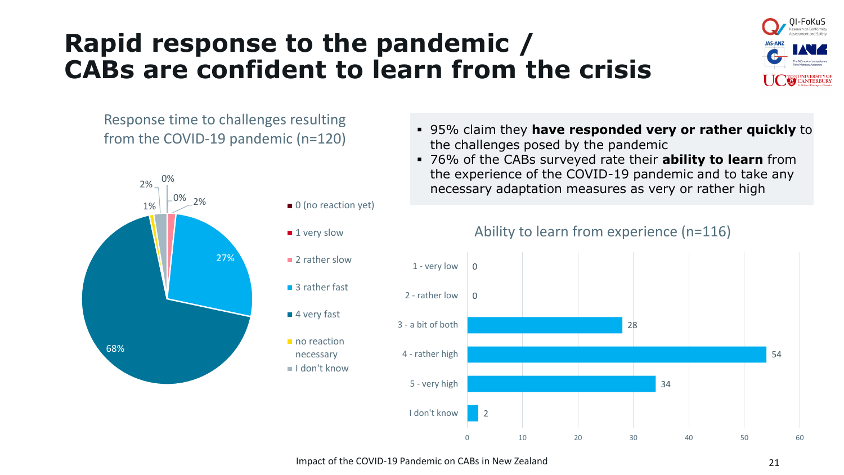## **Rapid response to the pandemic / CABs are confident to learn from the crisis**



Response time to challenges resulting from the COVID-19 pandemic (n=120)



- 95% claim they **have responded very or rather quickly** to the challenges posed by the pandemic
- 76% of the CABs surveyed rate their **ability to learn** from the experience of the COVID-19 pandemic and to take any necessary adaptation measures as very or rather high



#### Ability to learn from experience (n=116)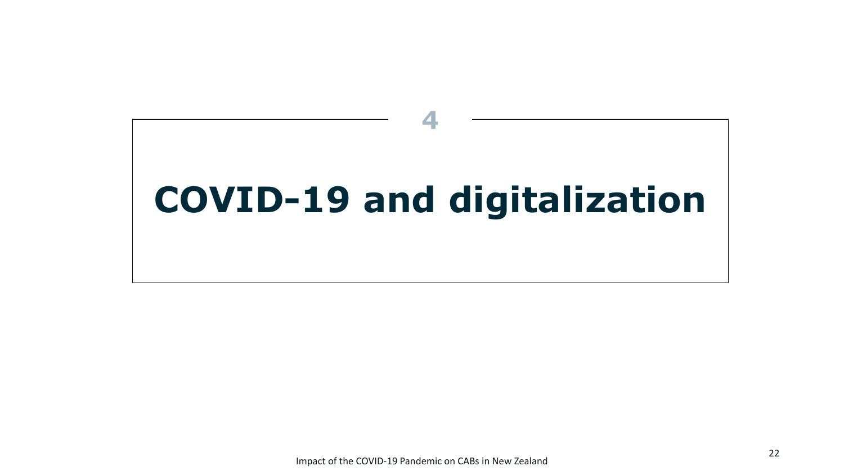# **COVID-19 and digitalization**

**4**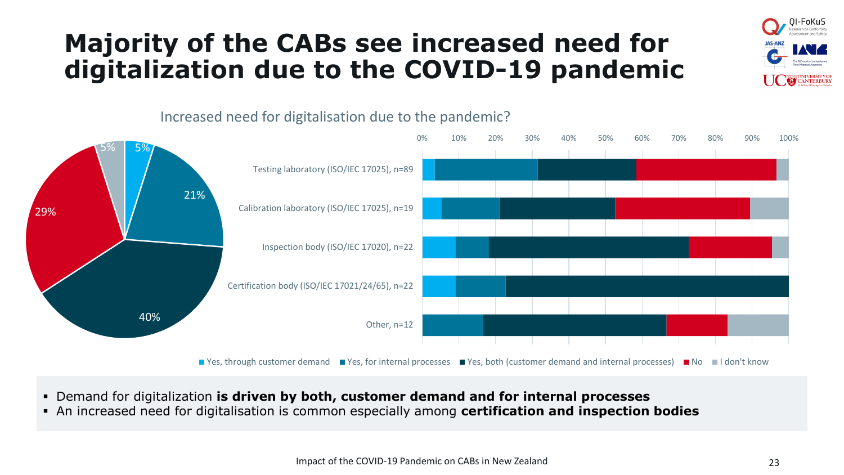## **Majority of the CABs see increased need for digitalization due to the COVID-19 pandemic**







- Demand for digitalization **is driven by both, customer demand and for internal processes**
- An increased need for digitalisation is common especially among **certification and inspection bodies**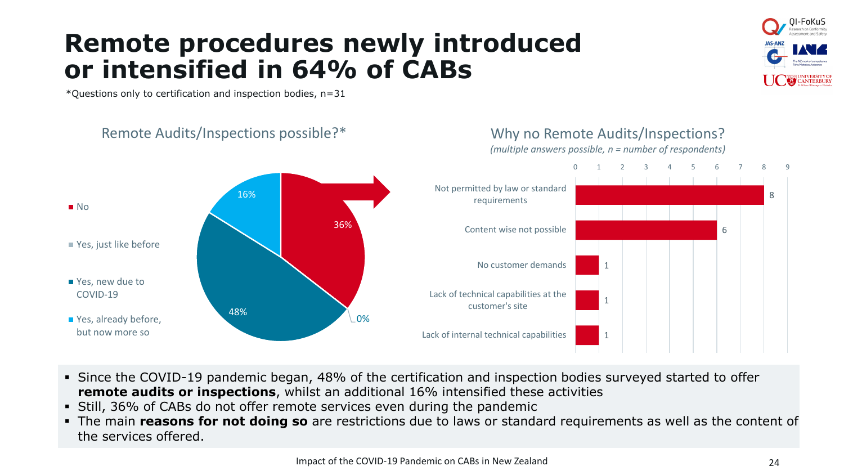## **Remote procedures newly introduced or intensified in 64% of CABs**

\*Questions only to certification and inspection bodies, n=31

Remote Audits/Inspections possible?\*



Why no Remote Audits/Inspections?

- Since the COVID-19 pandemic began, 48% of the certification and inspection bodies surveyed started to offer **remote audits or inspections**, whilst an additional 16% intensified these activities
- Still, 36% of CABs do not offer remote services even during the pandemic
- The main **reasons for not doing so** are restrictions due to laws or standard requirements as well as the content of the services offered.

-FoKuS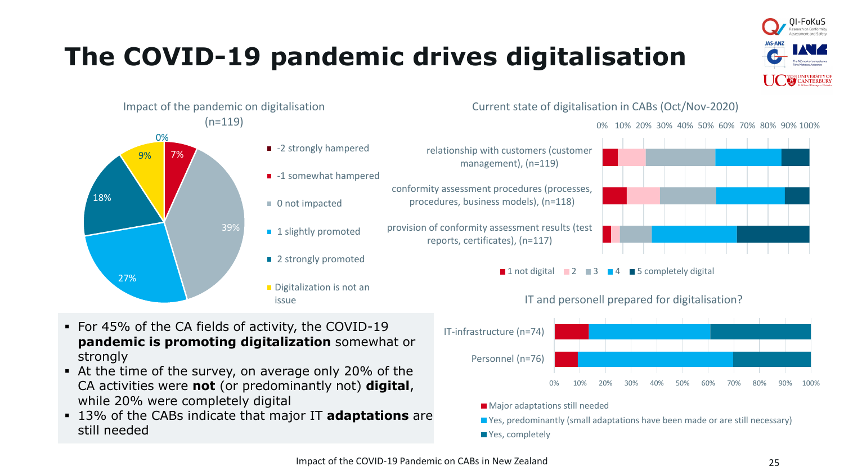# **The COVID-19 pandemic drives digitalisation**





39%

0%

9%

27%

18%

7%



- -1 somewhat hampered
- 0 not impacted
- **1** slightly promoted
- 2 strongly promoted
- Digitalization is not an issue

Current state of digitalisation in CABs (Oct/Nov-2020)

0% 10% 20% 30% 40% 50% 60% 70% 80% 90% 100%



**1** 1 not digital  $\blacksquare$  2  $\blacksquare$  3  $\blacksquare$  4  $\blacksquare$  5 completely digital



IT and personell prepared for digitalisation?

- **Major adaptations still needed**
- **Now Yes, predominantly (small adaptations have been made or are still necessary)**
- Yes, completely

relationship with customers (customer management), (n=119)

conformity assessment procedures (processes, procedures, business models), (n=118)

provision of conformity assessment results (test reports, certificates), (n=117)

#### ▪ For 45% of the CA fields of activity, the COVID-19 **pandemic is promoting digitalization** somewhat or strongly

- At the time of the survey, on average only 20% of the CA activities were **not** (or predominantly not) **digital**, while 20% were completely digital
- 13% of the CABs indicate that major IT **adaptations** are still needed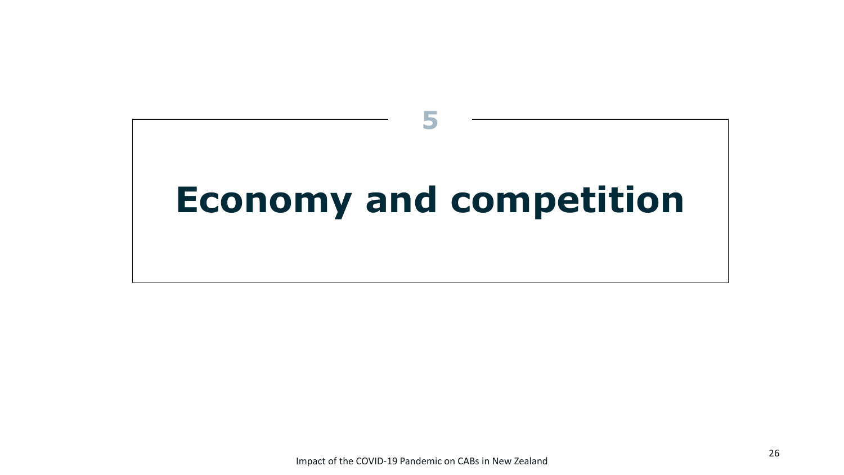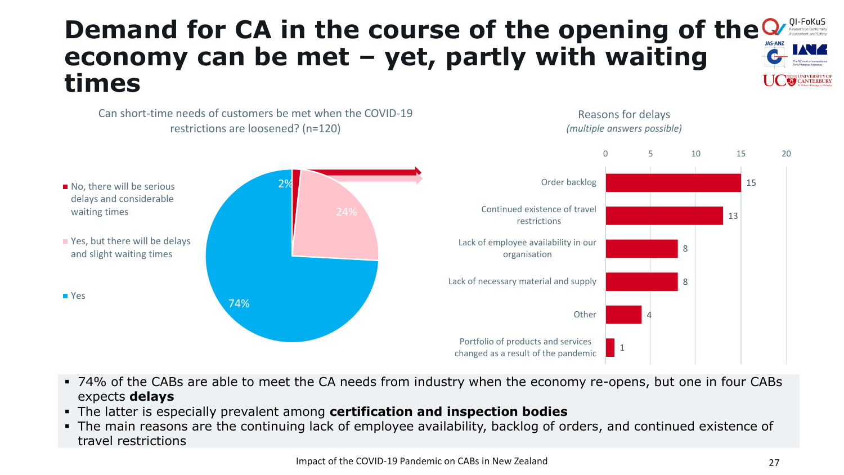#### OI-FoKuS **Demand for CA in the course of the opening of the economy can be met – yet, partly with waiting times**

Reasons for delays

2% 74% restrictions are loosened? (n=120) No, there will be serious delays and considerable waiting times ■ Yes, but there will be delays and slight waiting times ■ Yes 15 13 8 8 4 1 0 5 10 15 20 Order backlog Continued existence of travel restrictions Lack of employee availability in our organisation Lack of necessary material and supply **Other** Portfolio of products and services changed as a result of the pandemic *(multiple answers possible)*

- 74% of the CABs are able to meet the CA needs from industry when the economy re-opens, but one in four CABs expects **delays**
- The latter is especially prevalent among **certification and inspection bodies**

Can short-time needs of customers be met when the COVID-19

▪ The main reasons are the continuing lack of employee availability, backlog of orders, and continued existence of travel restrictions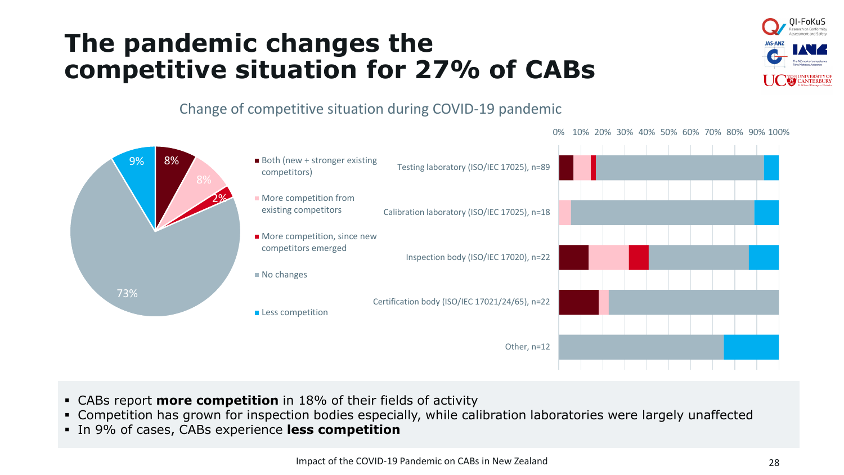## **The pandemic changes the competitive situation for 27% of CABs**



Change of competitive situation during COVID-19 pandemic



- CABs report **more competition** in 18% of their fields of activity
- Competition has grown for inspection bodies especially, while calibration laboratories were largely unaffected
- In 9% of cases, CABs experience **less competition**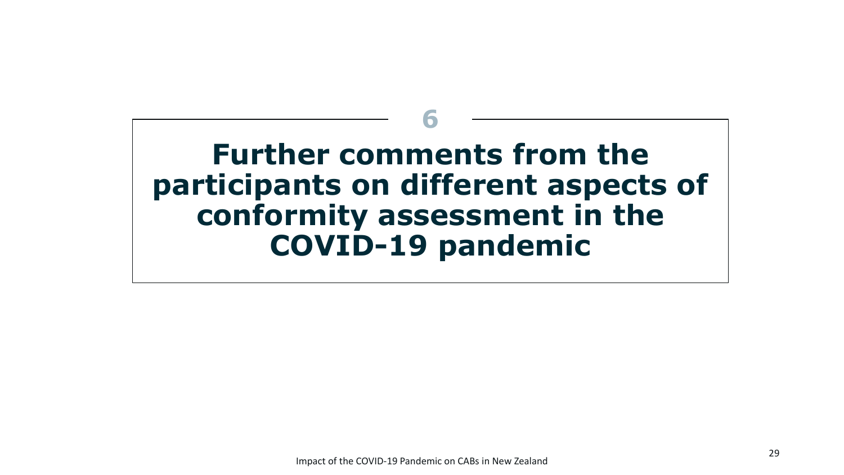# **Further comments from the participants on different aspects of conformity assessment in the COVID-19 pandemic 6**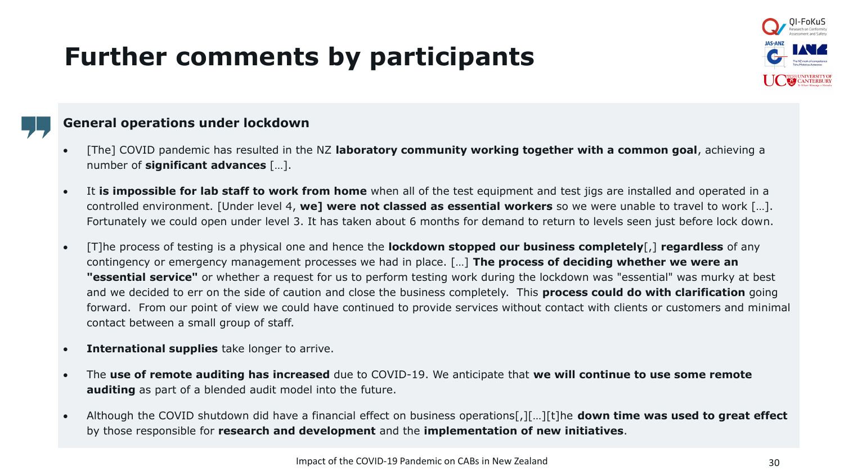# **Further comments by participants**



#### **General operations under lockdown**

- [The] COVID pandemic has resulted in the NZ **laboratory community working together with a common goal**, achieving a number of **significant advances** […].
- It **is impossible for lab staff to work from home** when all of the test equipment and test jigs are installed and operated in a controlled environment. [Under level 4, **we] were not classed as essential workers** so we were unable to travel to work […]. Fortunately we could open under level 3. It has taken about 6 months for demand to return to levels seen just before lock down.
- [T]he process of testing is a physical one and hence the **lockdown stopped our business completely**[,] **regardless** of any contingency or emergency management processes we had in place. […] **The process of deciding whether we were an "essential service"** or whether a request for us to perform testing work during the lockdown was "essential" was murky at best and we decided to err on the side of caution and close the business completely. This **process could do with clarification** going forward. From our point of view we could have continued to provide services without contact with clients or customers and minimal contact between a small group of staff.
- **International supplies** take longer to arrive.
- The **use of remote auditing has increased** due to COVID-19. We anticipate that **we will continue to use some remote auditing** as part of a blended audit model into the future.
- Although the COVID shutdown did have a financial effect on business operations[,][…][t]he **down time was used to great effect**  by those responsible for **research and development** and the **implementation of new initiatives**.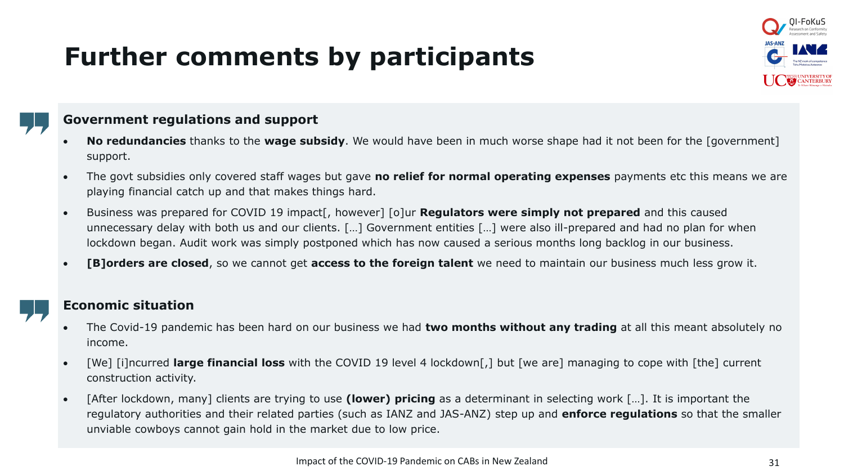# **Further comments by participants**



#### **Government regulations and support**

- **No redundancies** thanks to the **wage subsidy**. We would have been in much worse shape had it not been for the [government] support.
- The govt subsidies only covered staff wages but gave **no relief for normal operating expenses** payments etc this means we are playing financial catch up and that makes things hard.
- Business was prepared for COVID 19 impact[, however] [o]ur **Regulators were simply not prepared** and this caused unnecessary delay with both us and our clients. […] Government entities […] were also ill-prepared and had no plan for when lockdown began. Audit work was simply postponed which has now caused a serious months long backlog in our business.
- **[B]orders are closed**, so we cannot get **access to the foreign talent** we need to maintain our business much less grow it.

#### **Economic situation**

- The Covid-19 pandemic has been hard on our business we had **two months without any trading** at all this meant absolutely no income.
- [We] [i]ncurred **large financial loss** with the COVID 19 level 4 lockdown[,] but [we are] managing to cope with [the] current construction activity.
- [After lockdown, many] clients are trying to use **(lower) pricing** as a determinant in selecting work […]. It is important the regulatory authorities and their related parties (such as IANZ and JAS-ANZ) step up and **enforce regulations** so that the smaller unviable cowboys cannot gain hold in the market due to low price.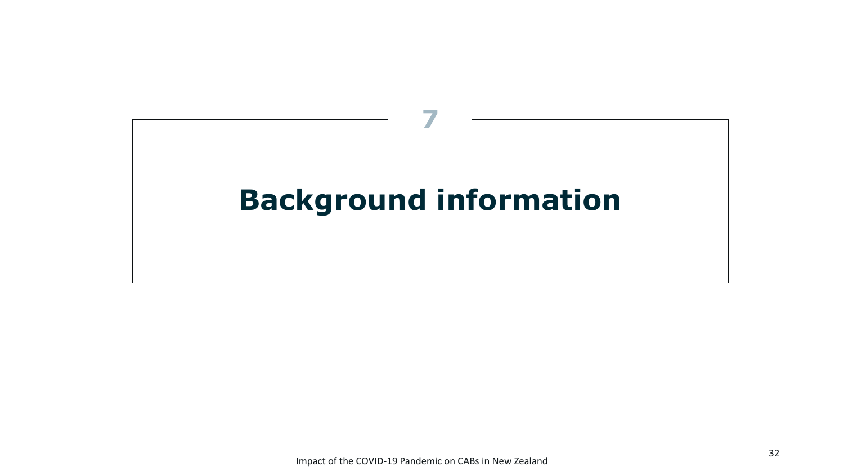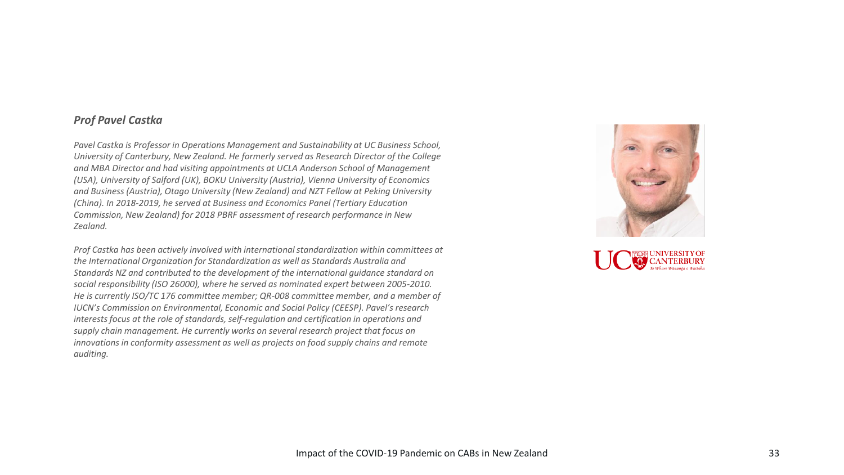#### *Prof Pavel Castka*

*Pavel Castka is Professor in Operations Management and Sustainability at UC Business School, University of Canterbury, New Zealand. He formerly served as Research Director of the College and MBA Director and had visiting appointments at UCLA Anderson School of Management (USA), University of Salford (UK), BOKU University (Austria), Vienna University of Economics and Business (Austria), Otago University (New Zealand) and NZT Fellow at Peking University (China). In 2018-2019, he served at Business and Economics Panel (Tertiary Education Commission, New Zealand) for 2018 PBRF assessment of research performance in New Zealand.*

*Prof Castka has been actively involved with international standardization within committees at the International Organization for Standardization as well as Standards Australia and Standards NZ and contributed to the development of the international guidance standard on social responsibility (ISO 26000), where he served as nominated expert between 2005-2010. He is currently ISO/TC 176 committee member; QR-008 committee member, and a member of IUCN's Commission on Environmental, Economic and Social Policy (CEESP). Pavel's research interests focus at the role of standards, self-regulation and certification in operations and supply chain management. He currently works on several research project that focus on innovations in conformity assessment as well as projects on food supply chains and remote auditing.* 



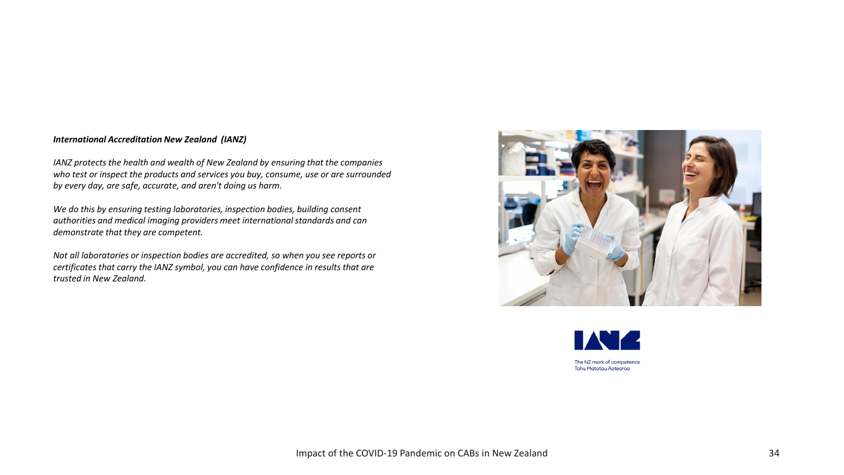#### *International Accreditation New Zealand (IANZ)*

*IANZ protects the health and wealth of New Zealand by ensuring that the companies who test or inspect the products and services you buy, consume, use or are surrounded by every day, are safe, accurate, and aren't doing us harm.*

*We do this by ensuring testing laboratories, inspection bodies, building consent authorities and medical imaging providers meet international standards and can demonstrate that they are competent.*

*Not all laboratories or inspection bodies are accredited, so when you see reports or certificates that carry the IANZ symbol, you can have confidence in results that are trusted in New Zealand.*



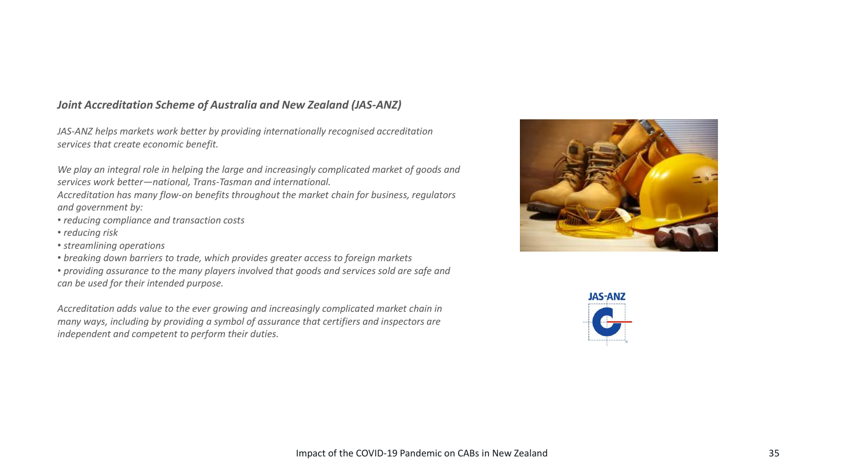#### *Joint Accreditation Scheme of Australia and New Zealand (JAS-ANZ)*

*JAS-ANZ helps markets work better by providing internationally recognised accreditation services that create economic benefit.*

*We play an integral role in helping the large and increasingly complicated market of goods and services work better—national, Trans-Tasman and international.*

*Accreditation has many flow-on benefits throughout the market chain for business, regulators and government by:*

- *reducing compliance and transaction costs*
- *reducing risk*
- *streamlining operations*
- *breaking down barriers to trade, which provides greater access to foreign markets*

• *providing assurance to the many players involved that goods and services sold are safe and can be used for their intended purpose.*

*Accreditation adds value to the ever growing and increasingly complicated market chain in many ways, including by providing a symbol of assurance that certifiers and inspectors are independent and competent to perform their duties.*



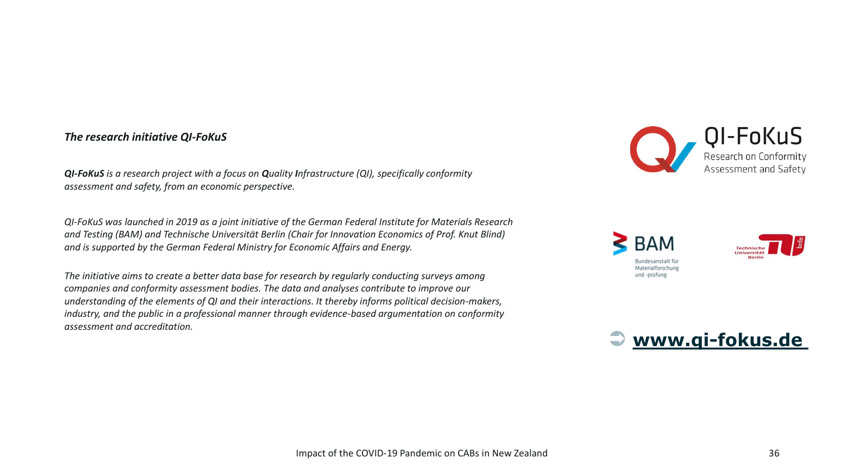#### *The research initiative QI-FoKuS*

*QI-FoKuS is a research project with a focus on Quality Infrastructure (QI), specifically conformity assessment and safety, from an economic perspective.*

*QI-FoKuS was launched in 2019 as a joint initiative of the German Federal Institute for Materials Research and Testing (BAM) and Technische Universität Berlin (Chair for Innovation Economics of Prof. Knut Blind) and is supported by the German Federal Ministry for Economic Affairs and Energy.*

*The initiative aims to create a better data base for research by regularly conducting surveys among companies and conformity assessment bodies. The data and analyses contribute to improve our understanding of the elements of QI and their interactions. It thereby informs political decision-makers, industry, and the public in a professional manner through evidence-based argumentation on conformity assessment and accreditation.*







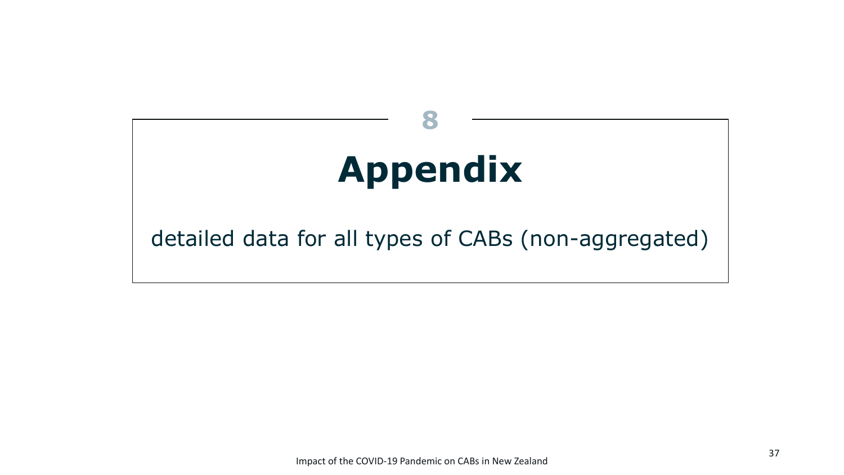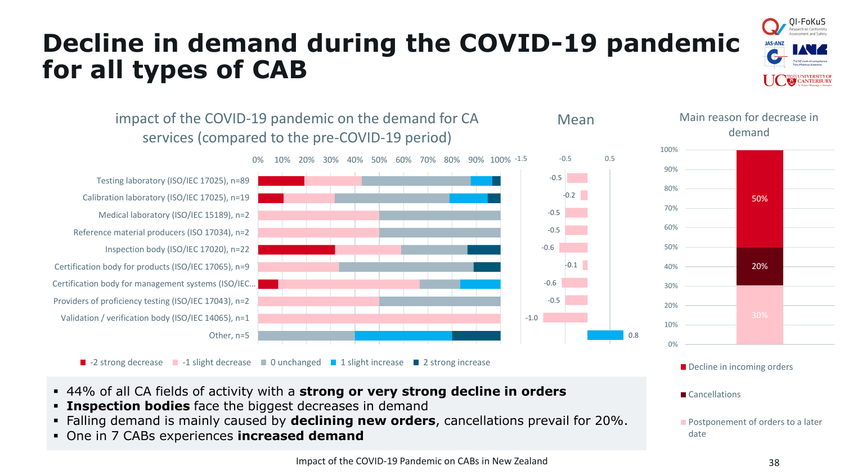

# **Decline in demand during the COVID-19 pandemic for all types of CAB**



- 44% of all CA fields of activity with a **strong or very strong decline in orders**
- **Example 2 Inspection bodies** face the biggest decreases in demand
- Falling demand is mainly caused by **declining new orders**, cancellations prevail for 20%.
- One in 7 CABs experiences **increased demand**

**Postponement of orders to a later** 

Cancellations

date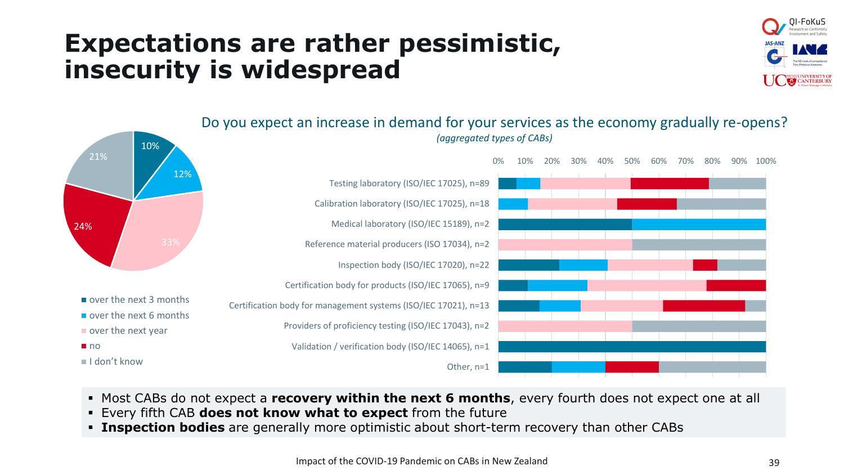#### **Expectations are rather pessimistic, insecurity is widespread**





- Most CABs do not expect a **recovery within the next 6 months**, every fourth does not expect one at all
- Every fifth CAB **does not know what to expect** from the future
- **Example 1** Inspection bodies are generally more optimistic about short-term recovery than other CABs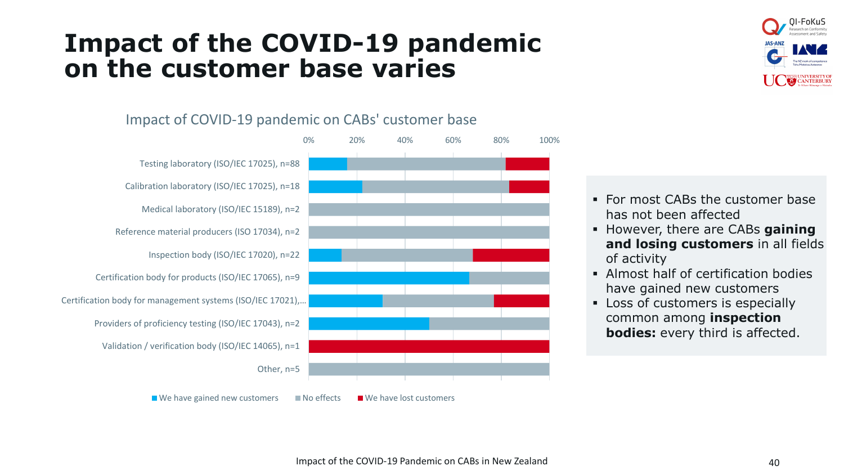#### **Impact of the COVID-19 pandemic on the customer base varies**







- **For most CABs the customer base** has not been affected
- However, there are CABs **gaining and losing customers** in all fields of activity
- **EXECUTE:** Almost half of certification bodies have gained new customers
- **EXECUTE:** Loss of customers is especially common among **inspection bodies:** every third is affected.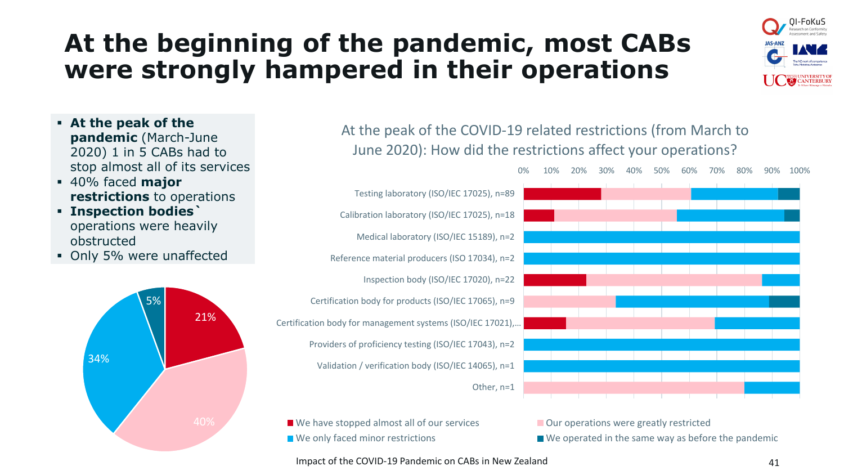## **At the beginning of the pandemic, most CABs were strongly hampered in their operations**



- **At the peak of the pandemic** (March-June 2020) 1 in 5 CABs had to stop almost all of its services
- 40% faced **major restrictions** to operations
- **Inspection bodies`**  operations were heavily obstructed
- Only 5% were unaffected



At the peak of the COVID-19 related restrictions (from March to June 2020): How did the restrictions affect your operations?



■ We have stopped almost all of our services **Our operations were greatly restricted** 

 $\blacksquare$  We only faced minor restrictions  $\blacksquare$  We operated in the same way as before the pandemic

Impact of the COVID-19 Pandemic on CABs in New Zealand 41 41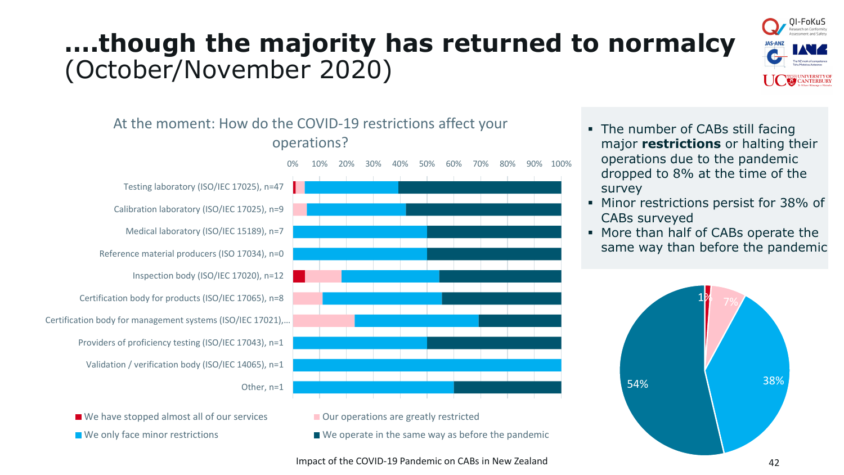# **….though the majority has returned to normalcy** (October/November 2020)



#### At the moment: How do the COVID-19 restrictions affect your operations?



■ We have stopped almost all of our services **Our operations are greatly restricted** 



 $\blacksquare$  We only face minor restrictions  $\blacksquare$  We operate in the same way as before the pandemic

- The number of CABs still facing major **restrictions** or halting their operations due to the pandemic dropped to 8% at the time of the survey
- Minor restrictions persist for 38% of CABs surveyed
- More than half of CABs operate the same way than before the pandemic



Impact of the COVID-19 Pandemic on CABs in New Zealand 42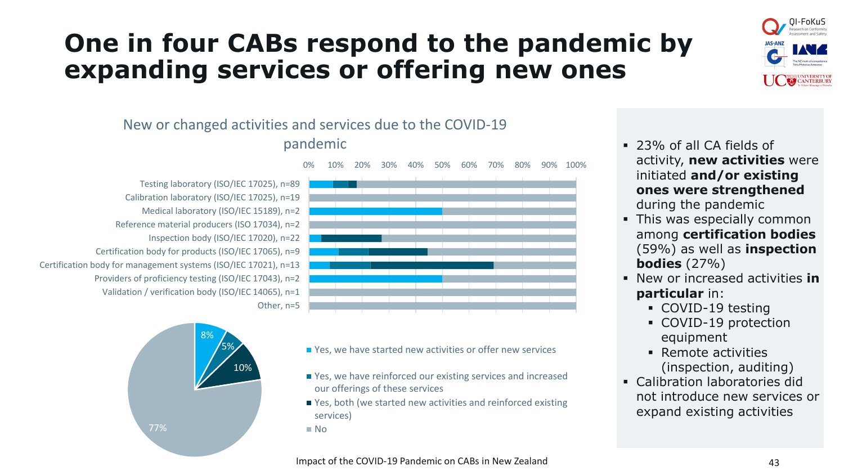#### **One in four CABs respond to the pandemic by expanding services or offering new ones**



#### New or changed activities and services due to the COVID-19 pandemic

Testing laboratory (ISO/IEC 17025), n=89 Calibration laboratory (ISO/IEC 17025), n=19 Medical laboratory (ISO/IEC 15189), n=2 Reference material producers (ISO 17034), n=2 Inspection body (ISO/IEC 17020), n=22 Certification body for products (ISO/IEC 17065), n=9 Certification body for management systems (ISO/IEC 17021), n=13 Providers of proficiency testing (ISO/IEC 17043), n=2 Validation / verification body (ISO/IEC 14065), n=1 Other, n=5



0% 10% 20% 30% 40% 50% 60% 70% 80% 90% 100%



- Yes, we have started new activities or offer new services
- Yes, we have reinforced our existing services and increased our offerings of these services
- Yes, both (we started new activities and reinforced existing services)

■ No

- 23% of all CA fields of activity, **new activities** were initiated **and/or existing ones were strengthened**  during the pandemic
- This was especially common among **certification bodies**  (59%) as well as **inspection bodies** (27%)
- New or increased activities **in particular** in:
	- COVID-19 testing
	- COVID-19 protection equipment
	- Remote activities (inspection, auditing)
- Calibration laboratories did not introduce new services or expand existing activities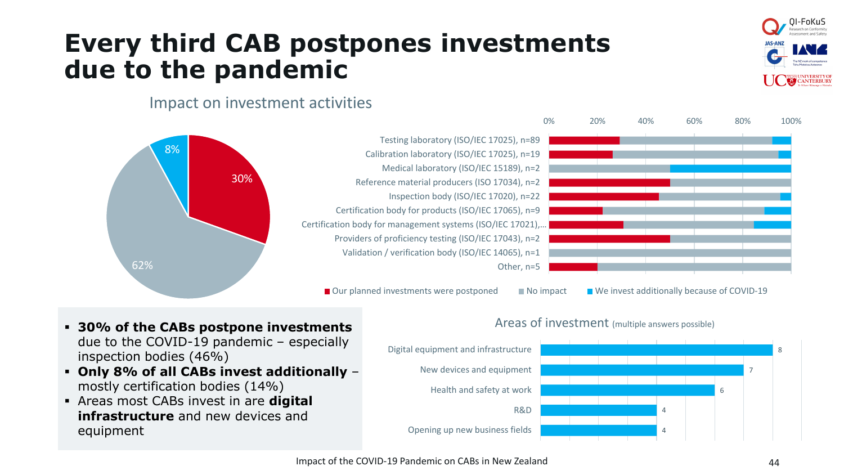## **Every third CAB postpones investments due to the pandemic**



#### Impact on investment activities



- **30% of the CABs postpone investments**  due to the COVID-19 pandemic – especially inspection bodies (46%)
- **Only 8% of all CABs invest additionally**  mostly certification bodies (14%)
- Areas most CABs invest in are **digital infrastructure** and new devices and equipment



#### Areas of investment (multiple answers possible)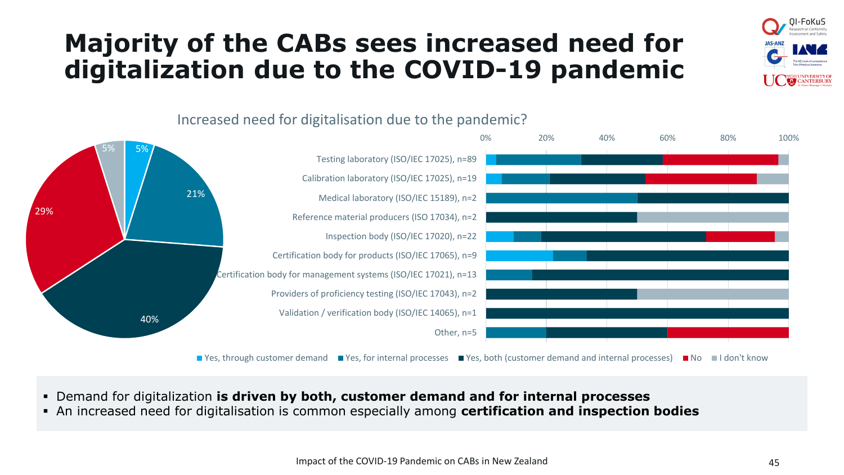## **Majority of the CABs sees increased need for digitalization due to the COVID-19 pandemic**







 $\blacksquare$  Yes, through customer demand  $\blacksquare$  Yes, for internal processes  $\blacksquare$  Yes, both (customer demand and internal processes)  $\blacksquare$  No  $\blacksquare$  I don't know

- Demand for digitalization **is driven by both, customer demand and for internal processes**
- An increased need for digitalisation is common especially among **certification and inspection bodies**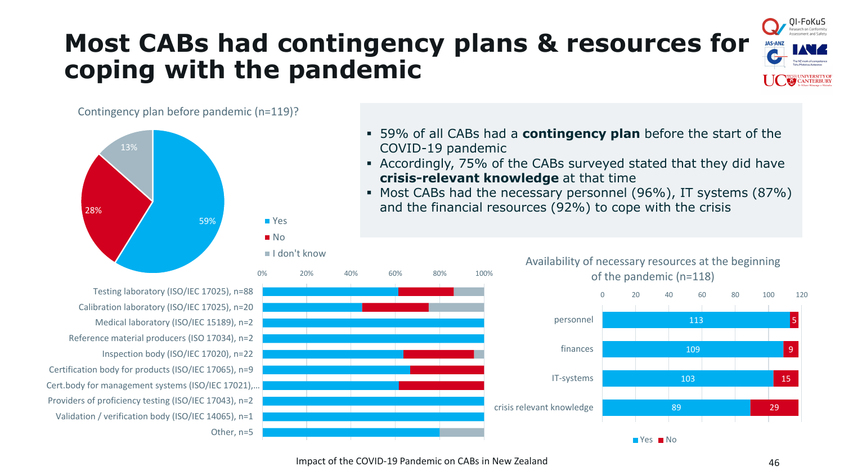## **Most CABs had contingency plans & resources for coping with the pandemic**



#### Contingency plan before pandemic (n=119)?



- 59% of all CABs had a **contingency plan** before the start of the COVID-19 pandemic
- Accordingly, 75% of the CABs surveyed stated that they did have **crisis-relevant knowledge** at that time
- Most CABs had the necessary personnel (96%), IT systems (87%) and the financial resources (92%) to cope with the crisis



Testing laboratory (ISO/IEC 17025), n=88 Calibration laboratory (ISO/IEC 17025), n=20 Medical laboratory (ISO/IEC 15189), n=2 Reference material producers (ISO 17034), n=2 Inspection body (ISO/IEC 17020), n=22 Certification body for products (ISO/IEC 17065), n=9 Cert.body for management systems (ISO/IEC 17021),… Providers of proficiency testing (ISO/IEC 17043), n=2 Validation / verification body (ISO/IEC 14065), n=1 Other, n=5



29

5

9

15

113

0 20 40 60 80 100 120

109

103

89

Yes No

of the pandemic (n=118)